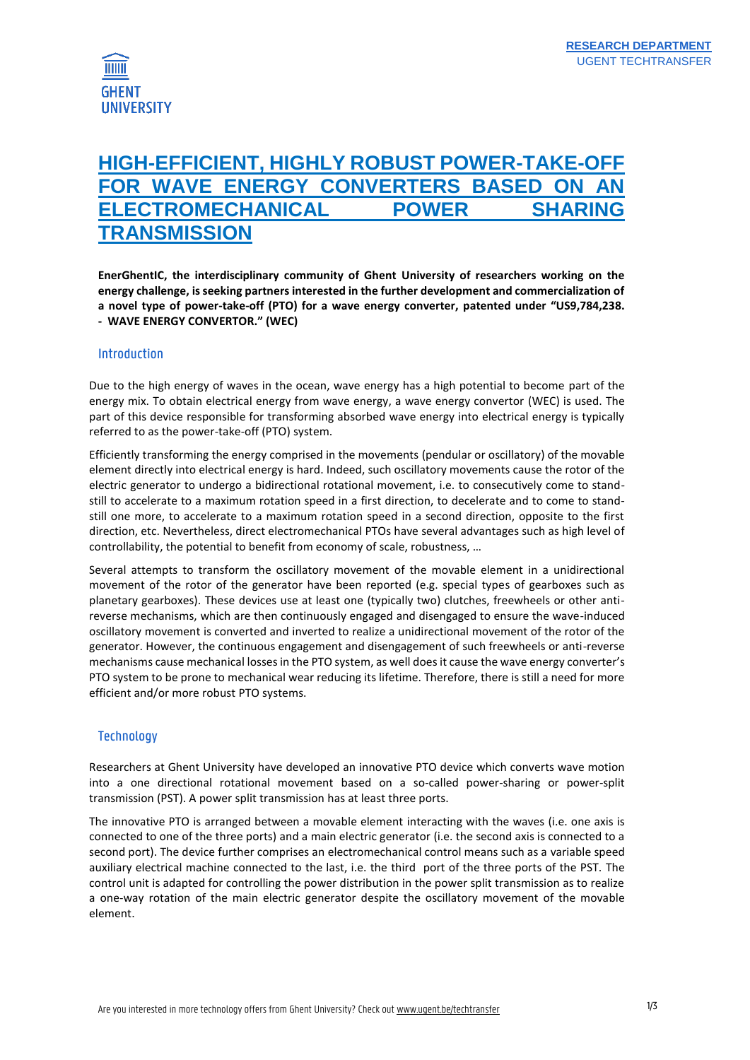

# **HIGH-EFFICIENT, HIGHLY ROBUST POWER-TAKE-OFF FOR WAVE ENERGY CONVERTERS BASED ON AN ELECTROMECHANICAL POWER SHARING TRANSMISSION**

**EnerGhentIC, the interdisciplinary community of Ghent University of researchers working on the energy challenge, is seeking partners interested in the further development and commercialization of a novel type of power-take-off (PTO) for a wave energy converter, patented under "US9,784,238. - WAVE ENERGY CONVERTOR." (WEC)**

#### **Introduction**

Due to the high energy of waves in the ocean, wave energy has a high potential to become part of the energy mix. To obtain electrical energy from wave energy, a wave energy convertor (WEC) is used. The part of this device responsible for transforming absorbed wave energy into electrical energy is typically referred to as the power-take-off (PTO) system.

Efficiently transforming the energy comprised in the movements (pendular or oscillatory) of the movable element directly into electrical energy is hard. Indeed, such oscillatory movements cause the rotor of the electric generator to undergo a bidirectional rotational movement, i.e. to consecutively come to standstill to accelerate to a maximum rotation speed in a first direction, to decelerate and to come to standstill one more, to accelerate to a maximum rotation speed in a second direction, opposite to the first direction, etc. Nevertheless, direct electromechanical PTOs have several advantages such as high level of controllability, the potential to benefit from economy of scale, robustness, …

Several attempts to transform the oscillatory movement of the movable element in a unidirectional movement of the rotor of the generator have been reported (e.g. special types of gearboxes such as planetary gearboxes). These devices use at least one (typically two) clutches, freewheels or other antireverse mechanisms, which are then continuously engaged and disengaged to ensure the wave-induced oscillatory movement is converted and inverted to realize a unidirectional movement of the rotor of the generator. However, the continuous engagement and disengagement of such freewheels or anti-reverse mechanisms cause mechanical losses in the PTO system, as well does it cause the wave energy converter's PTO system to be prone to mechanical wear reducing its lifetime. Therefore, there is still a need for more efficient and/or more robust PTO systems.

#### **Technology**

Researchers at Ghent University have developed an innovative PTO device which converts wave motion into a one directional rotational movement based on a so-called power-sharing or power-split transmission (PST). A power split transmission has at least three ports.

The innovative PTO is arranged between a movable element interacting with the waves (i.e. one axis is connected to one of the three ports) and a main electric generator (i.e. the second axis is connected to a second port). The device further comprises an electromechanical control means such as a variable speed auxiliary electrical machine connected to the last, i.e. the third port of the three ports of the PST. The control unit is adapted for controlling the power distribution in the power split transmission as to realize a one-way rotation of the main electric generator despite the oscillatory movement of the movable element.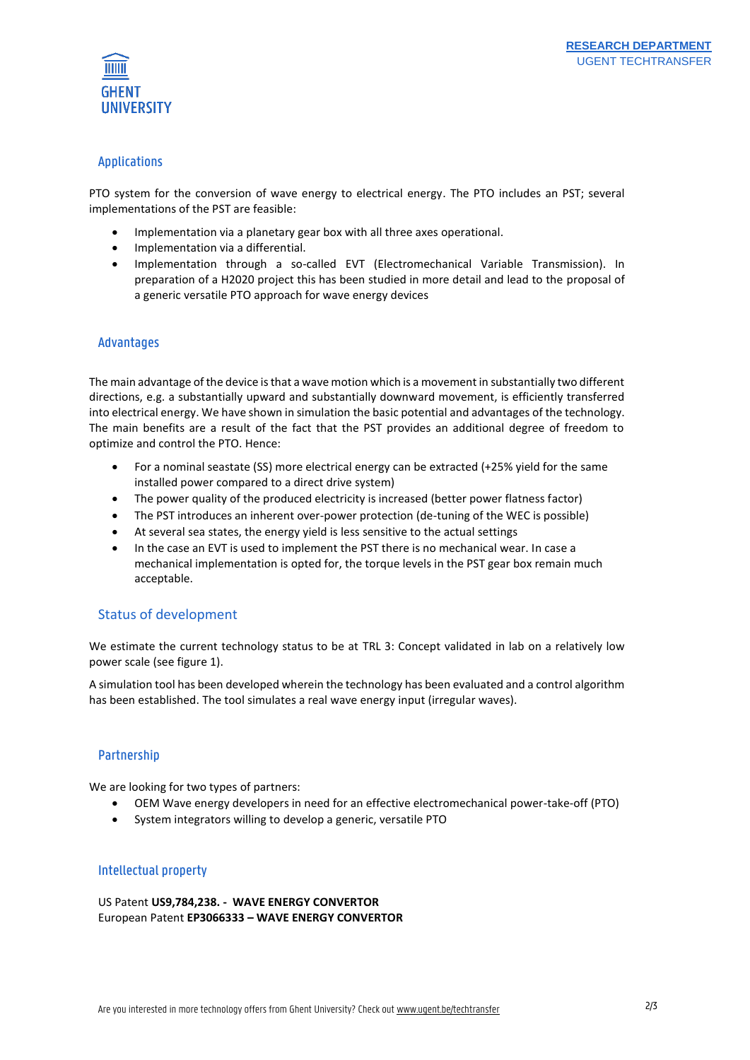

### Applications

PTO system for the conversion of wave energy to electrical energy. The PTO includes an PST; several implementations of the PST are feasible:

- Implementation via a planetary gear box with all three axes operational.
- Implementation via a differential.
- Implementation through a so-called EVT (Electromechanical Variable Transmission). In preparation of a H2020 project this has been studied in more detail and lead to the proposal of a generic versatile PTO approach for wave energy devices

#### Advantages

The main advantage of the device is that a wave motion which is a movement in substantially two different directions, e.g. a substantially upward and substantially downward movement, is efficiently transferred into electrical energy. We have shown in simulation the basic potential and advantages of the technology. The main benefits are a result of the fact that the PST provides an additional degree of freedom to optimize and control the PTO. Hence:

- For a nominal seastate (SS) more electrical energy can be extracted (+25% yield for the same installed power compared to a direct drive system)
- The power quality of the produced electricity is increased (better power flatness factor)
- The PST introduces an inherent over-power protection (de-tuning of the WEC is possible)
- At several sea states, the energy yield is less sensitive to the actual settings
- In the case an EVT is used to implement the PST there is no mechanical wear. In case a mechanical implementation is opted for, the torque levels in the PST gear box remain much acceptable.

#### Status of development

We estimate the current technology status to be at TRL 3: Concept validated in lab on a relatively low power scale (see figure 1).

A simulation tool has been developed wherein the technology has been evaluated and a control algorithm has been established. The tool simulates a real wave energy input (irregular waves).

#### Partnership

We are looking for two types of partners:

- OEM Wave energy developers in need for an effective electromechanical power-take-off (PTO)
- System integrators willing to develop a generic, versatile PTO

#### Intellectual property

US Patent **US9,784,238. - WAVE ENERGY CONVERTOR** European Patent **EP3066333 – WAVE ENERGY CONVERTOR**